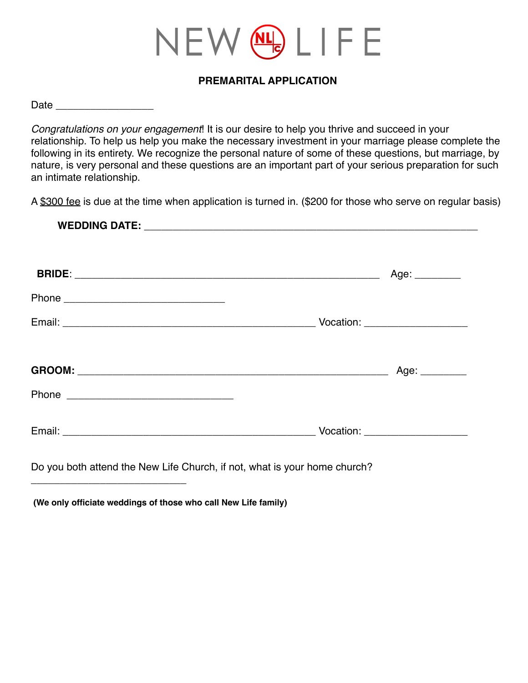# NEW (NL) LIFE

#### **PREMARITAL APPLICATION**

Date \_\_\_\_\_\_\_\_\_\_\_\_\_\_\_\_\_

*Congratulations on your engagement*! It is our desire to help you thrive and succeed in your relationship. To help us help you make the necessary investment in your marriage please complete the following in its entirety. We recognize the personal nature of some of these questions, but marriage, by nature, is very personal and these questions are an important part of your serious preparation for such an intimate relationship.

A \$300 fee is due at the time when application is turned in. (\$200 for those who serve on regular basis)

| Age: ________ |
|---------------|
|               |
|               |
|               |
|               |
|               |

\_\_\_\_\_\_\_\_\_\_\_\_\_\_\_\_\_\_\_\_\_\_\_\_\_\_\_

 **(We only officiate weddings of those who call New Life family)**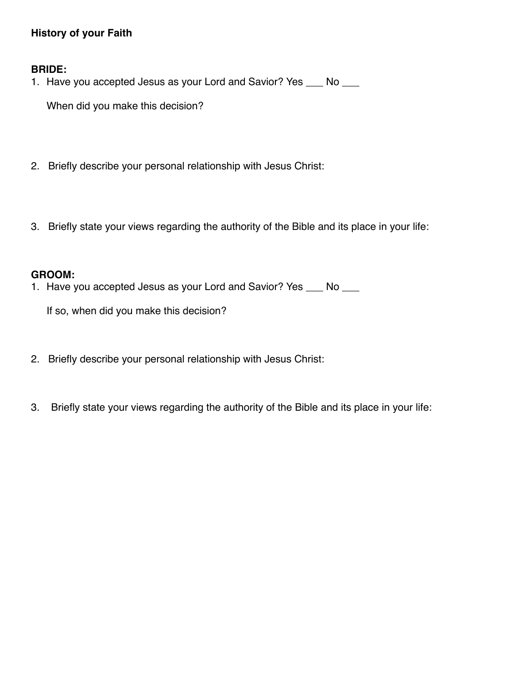## **History of your Faith**

#### **BRIDE:**

1. Have you accepted Jesus as your Lord and Savior? Yes \_\_\_ No \_\_\_

When did you make this decision?

- 2. Briefly describe your personal relationship with Jesus Christ:
- 3. Briefly state your views regarding the authority of the Bible and its place in your life:

#### **GROOM:**

1. Have you accepted Jesus as your Lord and Savior? Yes \_\_\_ No \_\_\_

If so, when did you make this decision?

- 2. Briefly describe your personal relationship with Jesus Christ:
- 3. Briefly state your views regarding the authority of the Bible and its place in your life: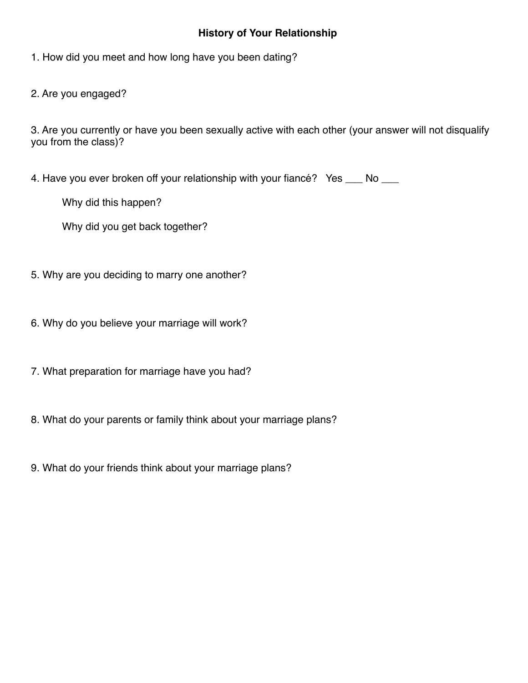#### **History of Your Relationship**

1. How did you meet and how long have you been dating?

2. Are you engaged?

3. Are you currently or have you been sexually active with each other (your answer will not disqualify you from the class)?

4. Have you ever broken off your relationship with your fiancé? Yes \_\_\_ No \_\_\_

Why did this happen?

Why did you get back together?

- 5. Why are you deciding to marry one another?
- 6. Why do you believe your marriage will work?
- 7. What preparation for marriage have you had?
- 8. What do your parents or family think about your marriage plans?
- 9. What do your friends think about your marriage plans?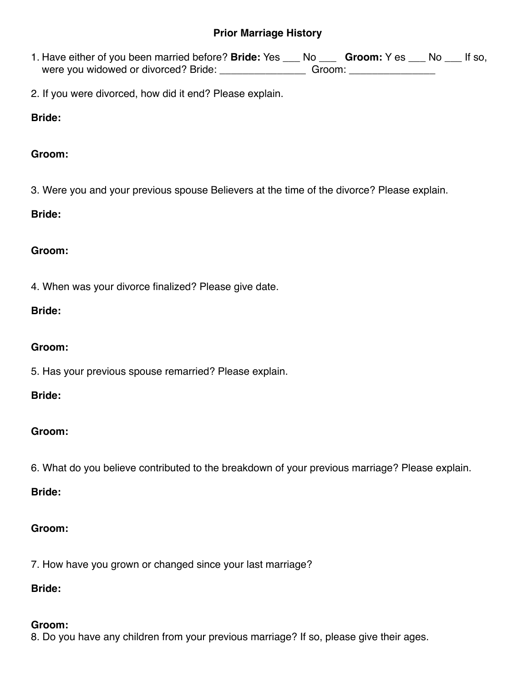#### **Prior Marriage History**

- 1. Have either of you been married before? **Bride:** Yes \_\_\_ No \_\_\_ **Groom:** Y es \_\_\_ No \_\_\_ If so, were you widowed or divorced? Bride: \_\_\_\_\_\_\_\_\_\_\_\_\_\_\_\_\_\_\_Groom: \_\_\_\_\_\_\_\_\_\_\_\_\_\_\_\_\_
- 2. If you were divorced, how did it end? Please explain.

## **Bride:**

## **Groom:**

3. Were you and your previous spouse Believers at the time of the divorce? Please explain.

## **Bride:**

## **Groom:**

4. When was your divorce finalized? Please give date.

## **Bride:**

## **Groom:**

5. Has your previous spouse remarried? Please explain.

#### **Bride:**

# **Groom:**

6. What do you believe contributed to the breakdown of your previous marriage? Please explain.

#### **Bride:**

# **Groom:**

7. How have you grown or changed since your last marriage?

### **Bride:**

# **Groom:**

8. Do you have any children from your previous marriage? If so, please give their ages.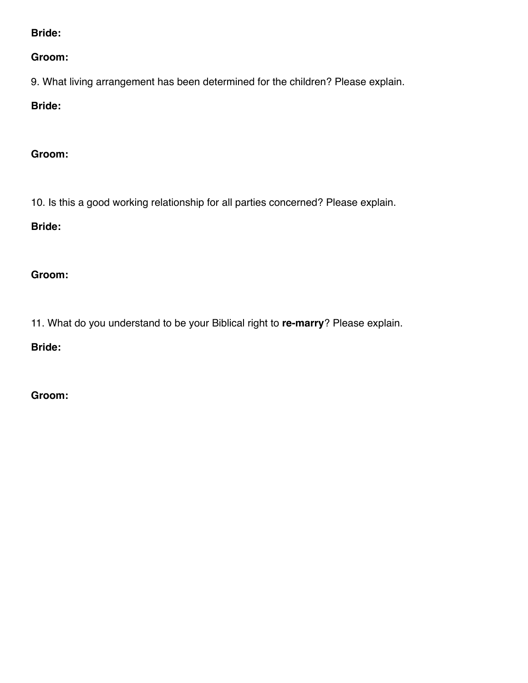**Bride:** 

**Groom:** 

9. What living arrangement has been determined for the children? Please explain.

**Bride:** 

**Groom:** 

10. Is this a good working relationship for all parties concerned? Please explain.

**Bride:** 

**Groom:** 

11. What do you understand to be your Biblical right to **re-marry**? Please explain.

**Bride:** 

**Groom:**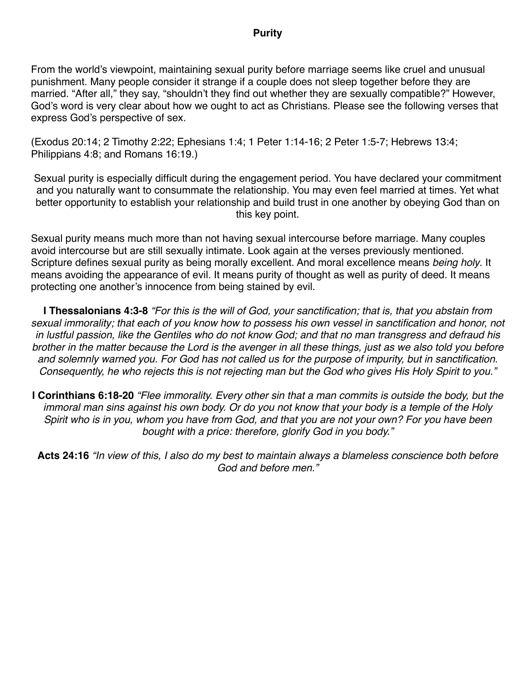#### **Purity**

From the world's viewpoint, maintaining sexual purity before marriage seems like cruel and unusual punishment. Many people consider it strange if a couple does not sleep together before they are married. "After all," they say, "shouldn't they find out whether they are sexually compatible?" However, God's word is very clear about how we ought to act as Christians. Please see the following verses that express God's perspective of sex.

(Exodus 20:14; 2 Timothy 2:22; Ephesians 1:4; 1 Peter 1:14-16; 2 Peter 1:5-7; Hebrews 13:4; Philippians 4:8; and Romans 16:19.)

Sexual purity is especially difficult during the engagement period. You have declared your commitment and you naturally want to consummate the relationship. You may even feel married at times. Yet what better opportunity to establish your relationship and build trust in one another by obeying God than on this key point.

Sexual purity means much more than not having sexual intercourse before marriage. Many couples avoid intercourse but are still sexually intimate. Look again at the verses previously mentioned. Scripture defines sexual purity as being morally excellent. And moral excellence means *being holy*. It means avoiding the appearance of evil. It means purity of thought as well as purity of deed. It means protecting one another's innocence from being stained by evil.

**I Thessalonians 4:3-8** *"For this is the will of God, your sanctification; that is, that you abstain from sexual immorality; that each of you know how to possess his own vessel in sanctification and honor, not in lustful passion, like the Gentiles who do not know God; and that no man transgress and defraud his brother in the matter because the Lord is the avenger in all these things, just as we also told you before and solemnly warned you. For God has not called us for the purpose of impurity, but in sanctification. Consequently, he who rejects this is not rejecting man but the God who gives His Holy Spirit to you."* 

**I Corinthians 6:18-20** *"Flee immorality. Every other sin that a man commits is outside the body, but the immoral man sins against his own body. Or do you not know that your body is a temple of the Holy Spirit who is in you, whom you have from God, and that you are not your own? For you have been bought with a price: therefore, glorify God in you body."* 

**Acts 24:16** *"In view of this, I also do my best to maintain always a blameless conscience both before God and before men."*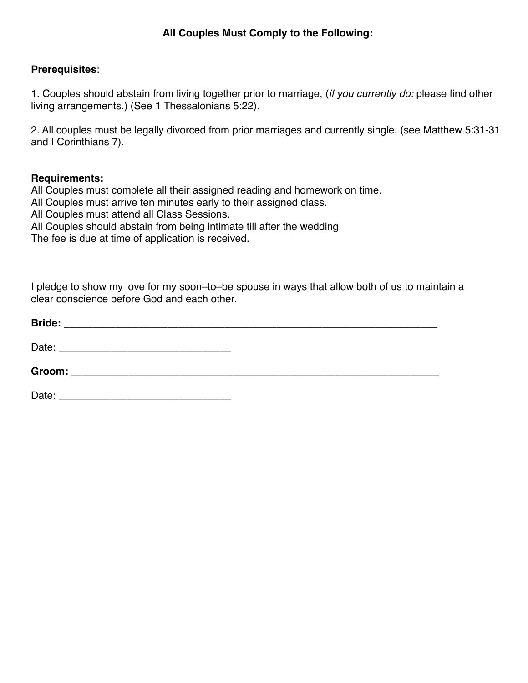## **All Couples Must Comply to the Following:**

#### **Prerequisites**:

1. Couples should abstain from living together prior to marriage, (*if you currently do:* please find other living arrangements.) (See 1 Thessalonians 5:22).

2. All couples must be legally divorced from prior marriages and currently single. (see Matthew 5:31-31 and I Corinthians 7).

#### **Requirements:**

All Couples must complete all their assigned reading and homework on time.

All Couples must arrive ten minutes early to their assigned class.

All Couples must attend all Class Sessions.

All Couples should abstain from being intimate till after the wedding

The fee is due at time of application is received.

I pledge to show my love for my soon–to–be spouse in ways that allow both of us to maintain a clear conscience before God and each other.

| <b>Bride:</b><br><u> 1980 - Jan Samuel Barbara, margaret eta biztanleria (h. 1980).</u> |  |
|-----------------------------------------------------------------------------------------|--|
| Date:<br><u> 1980 - John Stein, Amerikaansk politiker († 1901)</u>                      |  |
| <b>Groom:</b>                                                                           |  |
| Date:                                                                                   |  |